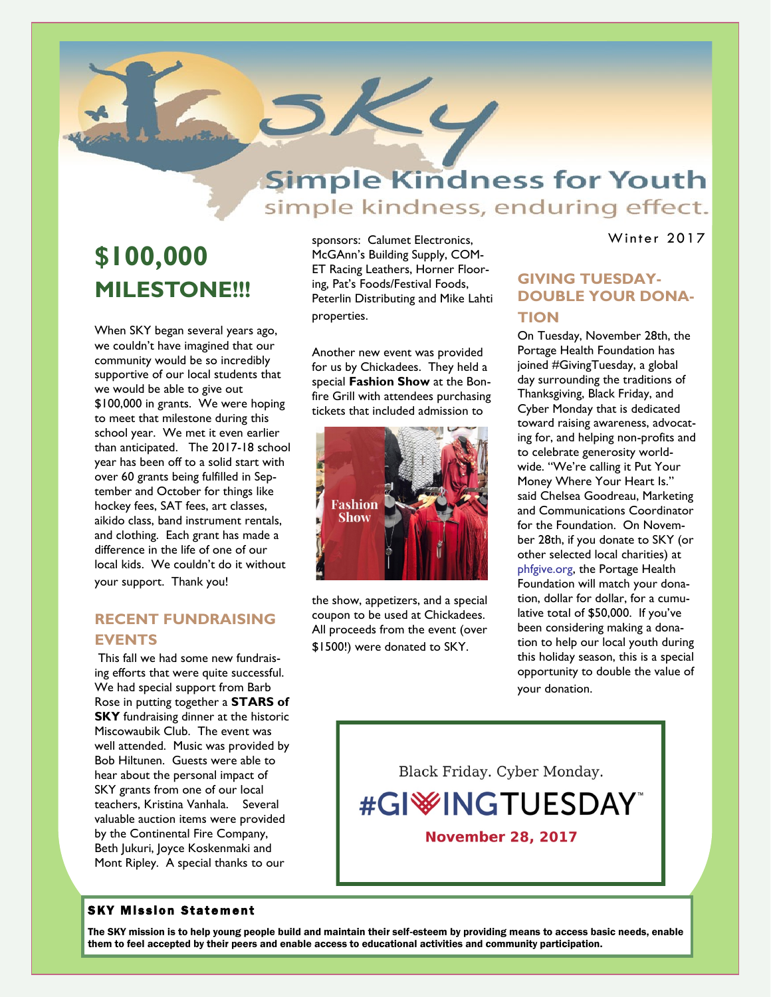## **Simple Kindness for Youth** simple kindness, enduring effect.

# **\$100,000 MILESTONE!!!**

**N e w s l e t t e t t e t t e** 

When SKY began several years ago, we couldn't have imagined that our community would be so incredibly supportive of our local students that we would be able to give out \$100,000 in grants. We were hoping to meet that milestone during this school year. We met it even earlier than anticipated. The 2017-18 school year has been off to a solid start with over 60 grants being fulfilled in September and October for things like hockey fees, SAT fees, art classes, aikido class, band instrument rentals, and clothing. Each grant has made a difference in the life of one of our local kids. We couldn't do it without your support. Thank you!

## **RECENT FUNDRAISING EVENTS**

This fall we had some new fundraising efforts that were quite successful. We had special support from Barb Rose in putting together a **STARS of SKY** fundraising dinner at the historic Miscowaubik Club. The event was well attended. Music was provided by Bob Hiltunen. Guests were able to hear about the personal impact of SKY grants from one of our local teachers, Kristina Vanhala. Several valuable auction items were provided by the Continental Fire Company, Beth Jukuri, Joyce Koskenmaki and Mont Ripley. A special thanks to our

sponsors: Calumet Electronics, McGAnn's Building Supply, COM-ET Racing Leathers, Horner Flooring, Pat's Foods/Festival Foods, Peterlin Distributing and Mike Lahti properties.

KL

Another new event was provided for us by Chickadees. They held a special **Fashion Show** at the Bonfire Grill with attendees purchasing tickets that included admission to



the show, appetizers, and a special coupon to be used at Chickadees. All proceeds from the event (over \$1500!) were donated to SKY.

Winter 2017

## **GIVING TUESDAY-DOUBLE YOUR DONA-TION**

On Tuesday, November 28th, the Portage Health Foundation has joined #GivingTuesday, a global day surrounding the traditions of Thanksgiving, Black Friday, and Cyber Monday that is dedicated toward raising awareness, advocating for, and helping non-profits and to celebrate generosity worldwide. "We're calling it Put Your Money Where Your Heart Is." said Chelsea Goodreau, Marketing and Communications Coordinator for the Foundation. On November 28th, if you donate to SKY (or other selected local charities) at phfgive.org, the Portage Health Foundation will match your donation, dollar for dollar, for a cumulative total of \$50,000. If you've been considering making a donation to help our local youth during this holiday season, this is a special opportunity to double the value of your donation.

Black Friday. Cyber Monday.

#GI<sup>W</sup>INGTUESDAY **November 28, 2017** 

#### **SKY Mission Statement**

The SKY mission is to help young people build and maintain their self-esteem by providing means to access basic needs, enable them to feel accepted by their peers and enable access to educational activities and community participation.